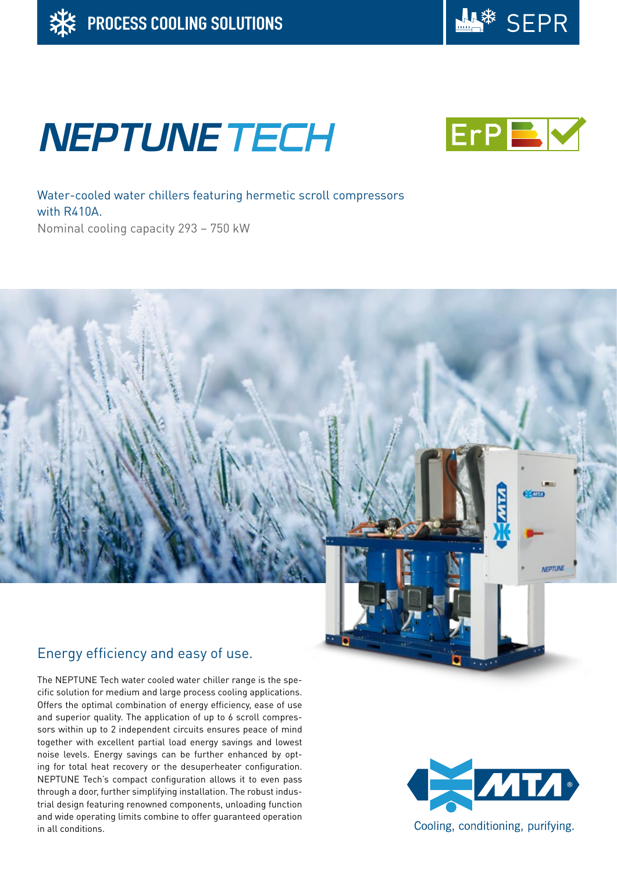

# **NEPTUNE TECH**



Water-cooled water chillers featuring hermetic scroll compressors with R410A Nominal cooling capacity 293 – 750 kW



# Energy efficiency and easy of use.

The NEPTUNE Tech water cooled water chiller range is the specific solution for medium and large process cooling applications. Offers the optimal combination of energy efficiency, ease of use and superior quality. The application of up to 6 scroll compressors within up to 2 independent circuits ensures peace of mind together with excellent partial load energy savings and lowest noise levels. Energy savings can be further enhanced by opting for total heat recovery or the desuperheater configuration. NEPTUNE Tech's compact configuration allows it to even pass through a door, further simplifying installation. The robust industrial design featuring renowned components, unloading function and wide operating limits combine to offer guaranteed operation in all conditions.